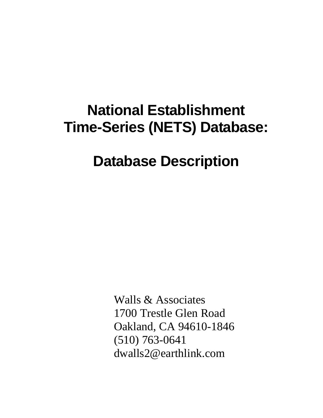# **National Establishment Time-Series (NETS) Database:**

## **Database Description**

Walls & Associates 1700 Trestle Glen Road Oakland, CA 94610-1846 (510) 763-0641 dwalls2@earthlink.com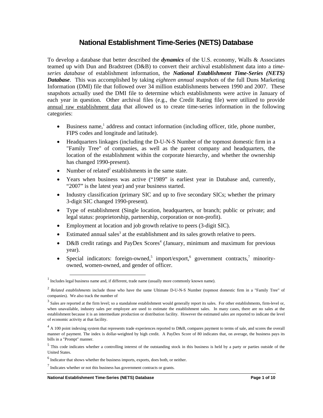### **National Establishment Time-Series (NETS) Database**

To develop a database that better described the *dynamics* of the U.S. economy, Walls & Associates teamed up with Dun and Bradstreet (D&B) to convert their archival establishment data into a *timeseries database* of establishment information, the *National Establishment Time-Series (NETS) Database*. This was accomplished by taking *eighteen annual snapshots* of the full Duns Marketing Information (DMI) file that followed over 34 million establishments between 1990 and 2007. These snapshots actually used the DMI file to determine which establishments were active in January of each year in question. Other archival files (e.g., the Credit Rating file) were utilized to provide annual raw establishment data that allowed us to create time-series information in the following categories:

- Business name,<sup>1</sup> address and contact information (including officer, title, phone number, FIPS codes and longitude and latitude).
- Headquarters linkages (including the D-U-N-S Number of the topmost domestic firm in a "Family Tree" of companies, as well as the parent company and headquarters, the location of the establishment within the corporate hierarchy, and whether the ownership has changed 1990-present).
- Number of related<sup>2</sup> establishments in the same state.
- Years when business was active ("1989" is earliest year in Database and, currently, "2007" is the latest year) and year business started.
- Industry classification (primary SIC and up to five secondary SICs; whether the primary 3-digit SIC changed 1990-present).
- Type of establishment (Single location, headquarters, or branch; public or private; and legal status: proprietorship, partnership, corporation or non-profit).
- Employment at location and job growth relative to peers (3-digit SIC).
- $\bullet$  Estimated annual sales<sup>3</sup> at the establishment and its sales growth relative to peers.
- D&B credit ratings and PayDex Scores<sup>4</sup> (January, minimum and maximum for previous year).
- Special indicators: foreign-owned,<sup>5</sup> import/export,<sup>6</sup> government contracts,<sup>7</sup> minorityowned, women-owned, and gender of officer.

<sup>&</sup>lt;sup>1</sup><br>Includes legal business name and, if different, trade name (usually more commonly known name).

<sup>&</sup>lt;sup>2</sup> Related establishments include those who have the same Ultimate D-U-N-S Number (topmost domestic firm in a "Family Tree" of companies). We also track the number of

 $3$  Sales are reported at the firm level; so a standalone establishment would generally report its sales. For other establishments, firm-level or, when unavailable, industry sales per employee are used to estimate the establishment sales. In many cases, there are no sales at the establishment because it is an intermediate production or distribution facility. However the estimated sales are reported to indicate the level of economic activity at that facility.

 $4 \text{ A } 100$  point indexing system that represents trade experiences reported to D&B, compares payment to terms of sale, and scores the overall manner of payment. The index is dollar-weighted by high credit. A PayDex Score of 80 indicates that, on average, the business pays its bills in a "Prompt" manner.

 $<sup>5</sup>$  This code indicates whether a controlling interest of the outstanding stock in this business is held by a party or parties outside of the</sup> United States.

 $<sup>6</sup>$  Indicator that shows whether the business imports, exports, does both, or neither.</sup>

 $<sup>7</sup>$  Indicates whether or not this business has government contracts or grants.</sup>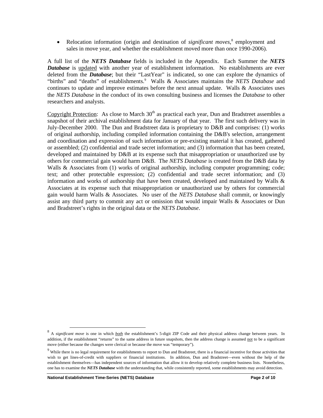• Relocation information (origin and destination of *significant moves*,<sup>8</sup> employment and sales in move year, and whether the establishment moved more than once 1990-2006).

A full list of the *NETS Database* fields is included in the Appendix. Each Summer the *NETS Database* is updated with another year of establishment information. No establishments are ever deleted from the *Database*; but their "LastYear" is indicated, so one can explore the dynamics of "births" and "deaths" of establishments.<sup>9</sup> Walls & Associates maintains the *NETS Database* and continues to update and improve estimates before the next annual update. Walls  $\&$  Associates uses the *NETS Database* in the conduct of its own consulting business and licenses the *Database* to other researchers and analysts.

Copyright Protection: As close to March 30<sup>th</sup> as practical each year, Dun and Bradstreet assembles a snapshot of their archival establishment data for January of that year. The first such delivery was in July-December 2000. The Dun and Bradstreet data is proprietary to D&B and comprises: (1) works of original authorship, including compiled information containing the D&B's selection, arrangement and coordination and expression of such information or pre-existing material it has created, gathered or assembled; (2) confidential and trade secret information; and (3) information that has been created, developed and maintained by D&B at its expense such that misappropriation or unauthorized use by others for commercial gain would harm D&B. The *NETS Database* is created from the D&B data by Walls & Associates from (1) works of original authorship, including computer programming; code; text; and other protectable expression; (2) confidential and trade secret information; and (3) information and works of authorship that have been created, developed and maintained by Walls  $\&$ Associates at its expense such that misappropriation or unauthorized use by others for commercial gain would harm Walls & Associates. No user of the *NETS Database* shall commit, or knowingly assist any third party to commit any act or omission that would impair Walls & Associates or Dun and Bradstreet's rights in the original data or the *NETS Database*.

<sup>&</sup>lt;sup>8</sup> A *significant move* is one in which *both* the establishment's 5-digit ZIP Code and their physical address change between years. In addition, if the establishment "returns" to the same address in future snapshots, then the address change is assumed not to be a significant move (either because the changes were clerical or because the move was "temporary").

 $9$  While there is no legal requirement for establishments to report to Dun and Bradstreet, there is a financial incentive for those activities that wish to get lines-of-credit with suppliers or financial institutions. In addition, Dun and Bradstreet—even without the help of the establishment themselves—has independent sources of information that allow it to develop relatively complete business lists. Nonetheless, one has to examine the *NETS Database* with the understanding that, while consistently reported, some establishments may avoid detection.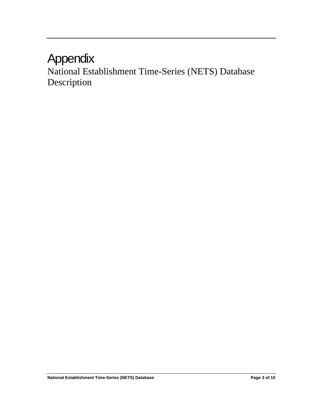### Appendix

National Establishment Time-Series (NETS) Database Description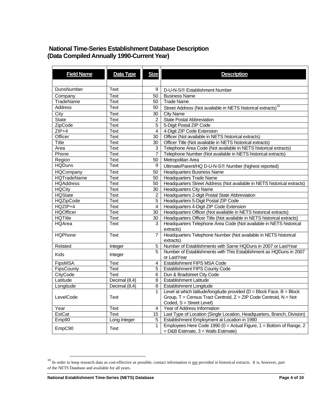### **National Time-Series Establishment Database Description (Data Compiled Annually 1990-Current Year)**

| <b>Field Name</b>    | Data Type     | <b>Size</b>      | <b>Description</b>                                                         |
|----------------------|---------------|------------------|----------------------------------------------------------------------------|
|                      |               |                  |                                                                            |
| DunsNumber           | Text          | 9                | D-U-N-S <sup>®</sup> Establishment Number                                  |
|                      |               |                  |                                                                            |
| Company<br>TradeName | Text          | 50<br>50         | <b>Business Name</b><br><b>Trade Name</b>                                  |
| <b>Address</b>       | Text          |                  |                                                                            |
|                      | Text          | 50               | Street Address (Not available in NETS historical extracts) <sup>10</sup>   |
| City                 | Text          | 30               | <b>City Name</b>                                                           |
| <b>State</b>         | Text          | $\overline{2}$   | <b>State Postal Abbreviation</b>                                           |
| ZipCode              | Text          | 5                | 5-Digit Postal ZIP Code                                                    |
| $ZIP+4$              | <b>Text</b>   | $\overline{4}$   | 4-Digit ZIP Code Extension                                                 |
| Officer              | Text          | 30               | Officer (Not available in NETS historical extracts)                        |
| <b>Title</b>         | Text          | 30               | Officer Title (Not available in NETS historical extracts)                  |
| Area                 | Text          | 3                | Telephone Area Code (Not available in NETS historical extracts)            |
| Phone                | Text          | $\overline{7}$   | Telephone Number (Not available in NETS historical extracts)               |
| Region               | Text          | 50               | Metropolitan Area                                                          |
| <b>HQDuns</b>        | Text          | 9                | Ultimate/Parent/HQ D-U-N-S® Number (highest reported)                      |
| <b>HQCompany</b>     | Text          | 50               | <b>Headquarters Business Name</b>                                          |
| <b>HQTradeName</b>   | Text          | 50               | <b>Headquarters Trade Name</b>                                             |
| <b>HQAddress</b>     | Text          | 50               | Headquarters Street Address (Not available in NETS historical extracts)    |
| <b>HQCity</b>        | Text          | 30               | <b>Headquarters City Name</b>                                              |
| <b>HQState</b>       | Text          | $\overline{2}$   | Headquarters 2-digit Postal State Abbreviation                             |
| <b>HQZipCode</b>     | Text          | $\overline{5}$   | Headquarters 5-Digit Postal ZIP Code                                       |
| $HQZIP+4$            | <b>Text</b>   | $\overline{4}$   | Headquarters 4-Digit ZIP Code Extension                                    |
| <b>HQOfficer</b>     | Text          | 30               | Headquarters Officer (Not available in NETS historical extracts)           |
| <b>HQTitle</b>       | Text          | 30               | Headquarters Officer Title (Not available in NETS historical extracts)     |
| <b>HQArea</b>        | Text          | 3                | Headquarters Telephone Area Code (Not available in NETS historical         |
|                      |               |                  | extracts)                                                                  |
| <b>HQPhone</b>       | <b>Text</b>   | $\overline{7}$   | Headquarters Telephone Number (Not available in NETS historical            |
|                      |               |                  | extracts)                                                                  |
| Related              | Integer       | 5                | Number of Establishments with Same HQDuns in 2007 or LastYear              |
|                      |               | 5                | Number of Establishments with This Establishment as HQDuns in 2007         |
| <b>Kids</b>          | Integer       |                  | or LastYear                                                                |
| FipsMSA              | Text          | 4                | Establishment FIPS MSA Code                                                |
| FipsCounty           | Text          | 5                | <b>Establishment FIPS County Code</b>                                      |
| CityCode             | <b>Text</b>   | 6                | Dun & Bradstreet City Code                                                 |
| Latitude             | Decimal (8,4) | 8                | <b>Establishment Latitude</b>                                              |
| Longitude            | Decimal (8,4) | 8                | <b>Establishment Longitude</b>                                             |
|                      |               | $\mathbf{1}$     | Level at which latitude/longitude provided ( $D = Block$ Face, $B = Block$ |
| LevelCode            | Text          |                  | Group, $T =$ Census Tract Centroid, $Z = ZIP$ Code Centroid, $N = Not$     |
|                      |               |                  | Coded, S = Street Level)                                                   |
| Year                 | Text          | $\overline{4}$   | Year of Address Information                                                |
| EstCat               | Text          | 15 <sub>15</sub> | Last Type of Location (Single Location, Headquarters, Branch, Division)    |
| Emp90                | Long Integer  | 5                | Establishment Employment at Location in 1990                               |
|                      |               | $\mathbf{1}$     | Employees Here Code 1990 ( $0 =$ Actual Figure, 1 = Bottom of Range, 2     |
| EmpC90               | Text          |                  | = D&B Estimate, 3 = Walls Estimate)                                        |
|                      |               |                  |                                                                            |

 $10$  In order to keep research data as cost-effective as possible, contact information is not provided in historical extracts. It is, however, part of the NETS Database and available for all years.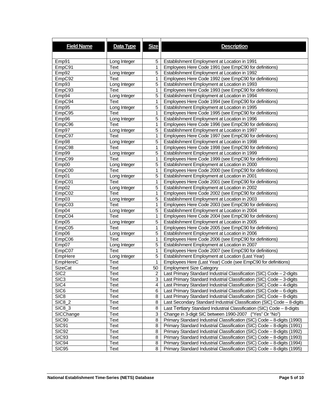| <b>Field Name</b>  | Data Type    | <b>Size</b>    | <b>Description</b>                                                      |
|--------------------|--------------|----------------|-------------------------------------------------------------------------|
|                    |              |                |                                                                         |
|                    |              |                |                                                                         |
| Emp91              | Long Integer | 5              | Establishment Employment at Location in 1991                            |
| EmpC91             | Text         | 1              | Employees Here Code 1991 (see EmpC90 for definitions)                   |
| Emp92              | Long Integer | 5              | Establishment Employment at Location in 1992                            |
| EmpC92             | Text         | 1              | Employees Here Code 1992 (see EmpC90 for definitions)                   |
| Emp93              | Long Integer | 5              | Establishment Employment at Location in 1993                            |
| EmpC93             | Text         | 1              | Employees Here Code 1993 (see EmpC90 for definitions)                   |
| Emp94              | Long Integer | 5              | Establishment Employment at Location in 1994                            |
| EmpC94             | Text         | 1              | Employees Here Code 1994 (see EmpC90 for definitions)                   |
| Emp95              | Long Integer | 5              | Establishment Employment at Location in 1995                            |
| EmpC95             | Text         | 1              | Employees Here Code 1995 (see EmpC90 for definitions)                   |
| Emp96              | Long Integer | 5              | Establishment Employment at Location in 1996                            |
| EmpC96             | Text         | 1              | Employees Here Code 1996 (see EmpC90 for definitions)                   |
| Emp97              | Long Integer | 5              | Establishment Employment at Location in 1997                            |
| EmpC97             | Text         | $\mathbf{1}$   | Employees Here Code 1997 (see EmpC90 for definitions)                   |
| Emp98              | Long Integer | 5              | Establishment Employment at Location in 1998                            |
| EmpC98             | Text         | 1              | Employees Here Code 1998 (see EmpC90 for definitions)                   |
| Emp99              | Long Integer | 5              | Establishment Employment at Location in 1999                            |
| EmpC99             | Text         | 1              | Employees Here Code 1999 (see EmpC90 for definitions)                   |
| Emp00              | Long Integer | 5              | Establishment Employment at Location in 2000                            |
| EmpC00             | Text         | $\mathbf{1}$   | Employees Here Code 2000 (see EmpC90 for definitions)                   |
| Emp01              | Long Integer | 5              | Establishment Employment at Location in 2001                            |
| EmpC01             | Text         | 1              | Employees Here Code 2001 (see EmpC90 for definitions)                   |
| Emp02              | Long Integer | 5              | Establishment Employment at Location in 2002                            |
| EmpCO <sub>2</sub> | Text         | 1              | Employees Here Code 2002 (see EmpC90 for definitions)                   |
| Emp03              | Long Integer | 5              | Establishment Employment at Location in 2003                            |
| EmpC03             | Text         | 1              | Employees Here Code 2003 (see EmpC90 for definitions)                   |
| Emp04              | Long Integer | 5              | Establishment Employment at Location in 2004                            |
| EmpC04             | Text         | 1              | Employees Here Code 2004 (see EmpC90 for definitions)                   |
| Emp05              | Long Integer | 5              | Establishment Employment at Location in 2005                            |
| EmpC05             | Text         | 1              | Employees Here Code 2005 (see EmpC90 for definitions)                   |
| Emp06              | Long Integer | 5              | Establishment Employment at Location in 2006                            |
| EmpC06             | Text         | 1              | Employees Here Code 2006 (see EmpC90 for definitions)                   |
| Emp07              | Long Integer | 5              | Establishment Employment at Location in 2007                            |
| EmpCO7             | Text         | 1              | Employees Here Code 2007 (see EmpC90 for definitions)                   |
| EmpHere            | Long Integer | 5              | Establishment Employment at Location (Last Year)                        |
| EmpHereC           | Text         | 1              | Employees Here (Last Year) Code (see EmpC90 for definitions)            |
| <b>SizeCat</b>     | Text         | 50             | <b>Employment Size Category</b>                                         |
| SIC <sub>2</sub>   | Text         | $\overline{2}$ | Last Primary Standard Industrial Classification (SIC) Code - 2-digits   |
| SIC <sub>3</sub>   | Text         | 3              | Last Primary Standard Industrial Classification (SIC) Code - 3-digits   |
| SIC4               | Text         | 4              | Last Primary Standard Industrial Classification (SIC) Code - 4-digits   |
| SIC <sub>6</sub>   | Text         | 6              | Last Primary Standard Industrial Classification (SIC) Code - 6-digits   |
| SIC <sub>8</sub>   | Text         | 8              | Last Primary Standard Industrial Classification (SIC) Code - 8-digits   |
| <b>SIC8_2</b>      | Text         | 8              | Last Secondary Standard Industrial Classification (SIC) Code - 8-digits |
| SIC8_3             | Text         | 8              | Last Tertiary Standard Industrial Classification (SIC) Code - 8-digits  |
| SICChange          | Text         | 3              | Change in 3-digit SIC between 1990-2007 ("Yes" Or "No")                 |
| <b>SIC90</b>       | Text         | 8              | Primary Standard Industrial Classification (SIC) Code - 8-digits (1990) |
| SIC91              | Text         | 8              | Primary Standard Industrial Classification (SIC) Code - 8-digits (1991) |
| <b>SIC92</b>       | Text         | 8              | Primary Standard Industrial Classification (SIC) Code - 8-digits (1992) |
| <b>SIC93</b>       | Text         | 8              | Primary Standard Industrial Classification (SIC) Code - 8-digits (1993) |
| SIC94              | Text         | 8              | Primary Standard Industrial Classification (SIC) Code - 8-digits (1994) |
| <b>SIC95</b>       | Text         | 8              | Primary Standard Industrial Classification (SIC) Code - 8-digits (1995) |
|                    |              |                |                                                                         |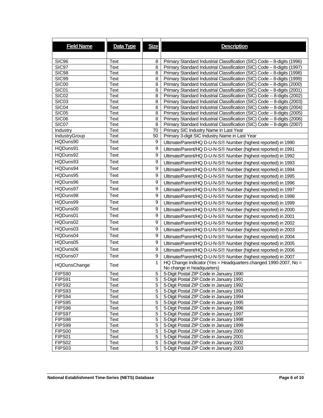| <b>Field Name</b> | Data Type | <b>Size</b> | <b>Description</b>                                                        |
|-------------------|-----------|-------------|---------------------------------------------------------------------------|
|                   |           |             |                                                                           |
| SIC <sub>96</sub> | Text      | 8           | Primary Standard Industrial Classification (SIC) Code - 8-digits (1996)   |
| SIC97             | Text      | 8           | Primary Standard Industrial Classification (SIC) Code - 8-digits (1997)   |
| <b>SIC98</b>      | Text      | 8           | Primary Standard Industrial Classification (SIC) Code - 8-digits (1998)   |
| <b>SIC99</b>      | Text      | 8           | Primary Standard Industrial Classification (SIC) Code - 8-digits (1999)   |
| SIC00             | Text      | 8           | Primary Standard Industrial Classification (SIC) Code - 8-digits (2000)   |
| SIC01             | Text      | 8           | Primary Standard Industrial Classification (SIC) Code - 8-digits (2001)   |
| SIC <sub>02</sub> | Text      | 8           | Primary Standard Industrial Classification (SIC) Code -- 8-digits (2002)  |
| SIC03             | Text      | 8           | Primary Standard Industrial Classification (SIC) Code -- 8-digits (2003)  |
| SIC04             | Text      | 8           | Primary Standard Industrial Classification (SIC) Code -- 8-digits (2004)  |
| SIC05             | Text      | 8           | Primary Standard Industrial Classification (SIC) Code -- 8-digits (2005)  |
| SIC06             | Text      | 8           | Primary Standard Industrial Classification (SIC) Code -- 8-digits (2006)  |
| SIC07             | Text      | 8           | Primary Standard Industrial Classification (SIC) Code -- 8-digits (2007)  |
| Industry          | Text      | 70          | Primary SIC Industry Name in Last Year                                    |
| IndustryGroup     | Text      | 50          | Primary 3-digit SIC Industry Name in Last Year                            |
| HQDuns90          | Text      | 9           | Ultimate/Parent/HQ D-U-N-S® Number (highest reported) in 1990             |
| HQDuns91          | Text      | 9           | Ultimate/Parent/HQ D-U-N-S <sup>®</sup> Number (highest reported) in 1991 |
| HQDuns92          | Text      | 9           | Ultimate/Parent/HQ D-U-N-S <sup>®</sup> Number (highest reported) in 1992 |
| HQDuns93          | Text      | 9           | Ultimate/Parent/HQ D-U-N-S® Number (highest reported) in 1993             |
| HQDuns94          | Text      | 9           | Ultimate/Parent/HQ D-U-N-S® Number (highest reported) in 1994             |
| HQDuns95          | Text      | 9           | Ultimate/Parent/HQ D-U-N-S® Number (highest reported) in 1995             |
| HQDuns96          | Text      | 9           |                                                                           |
|                   |           |             | Ultimate/Parent/HQ D-U-N-S® Number (highest reported) in 1996             |
| HQDuns97          | Text      | 9           | Ultimate/Parent/HQ D-U-N-S <sup>®</sup> Number (highest reported) in 1997 |
| HQDuns98          | Text      | 9           | Ultimate/Parent/HQ D-U-N-S <sup>®</sup> Number (highest reported) in 1998 |
| HQDuns99          | Text      | 9           | Ultimate/Parent/HQ D-U-N-S® Number (highest reported) in 1999             |
| HQDuns00          | Text      | 9           | Ultimate/Parent/HQ D-U-N-S <sup>®</sup> Number (highest reported) in 2000 |
| HQDuns01          | Text      | 9           | Ultimate/Parent/HQ D-U-N-S <sup>®</sup> Number (highest reported) in 2001 |
| HQDuns02          | Text      | 9           | Ultimate/Parent/HQ D-U-N-S <sup>®</sup> Number (highest reported) in 2002 |
| HQDuns03          | Text      | 9           | Ultimate/Parent/HQ D-U-N-S® Number (highest reported) in 2003             |
| HQDuns04          | Text      | 9           | Ultimate/Parent/HQ D-U-N-S® Number (highest reported) in 2004             |
| HQDuns05          | Text      | 9           | Ultimate/Parent/HQ D-U-N-S <sup>®</sup> Number (highest reported) in 2005 |
| HQDuns06          | Text      | 9           |                                                                           |
|                   |           |             | Ultimate/Parent/HQ D-U-N-S <sup>®</sup> Number (highest reported) in 2006 |
| HQDuns07          | Text      | 9           | Ultimate/Parent/HQ D-U-N-S® Number (highest reported) in 2007             |
| HQDunsChange      | Text      | 1           | HQ Change Indicator (Yes = Headquarters changed 1990-2007, No =           |
| FIPS90            | Text      | 5           | No change in headquarters)<br>5-Digit Postal ZIP Code in January 1990     |
| FIPS91            | Text      | 5           | 5-Digit Postal ZIP Code in January 1991                                   |
| FIPS92            | Text      | 5           | 5-Digit Postal ZIP Code in January 1992                                   |
| FIPS93            | Text      | 5           | 5-Digit Postal ZIP Code in January 1993                                   |
| FIPS94            | Text      | 5           | 5-Digit Postal ZIP Code in January 1994                                   |
| FIPS95            | Text      | 5           | 5-Digit Postal ZIP Code in January 1995                                   |
| FIPS96            | Text      | 5           | 5-Digit Postal ZIP Code in January 1996                                   |
| FIPS97            | Text      | 5           | 5-Digit Postal ZIP Code in January 1997                                   |
| FIPS98            | Text      | 5           | 5-Digit Postal ZIP Code in January 1998                                   |
| FIPS99            | Text      | 5           | 5-Digit Postal ZIP Code in January 1999                                   |
| FIPS00            | Text      | 5           | 5-Digit Postal ZIP Code in January 2000                                   |
| FIPS01            | Text      | 5           | 5-Digit Postal ZIP Code in January 2001                                   |
| FIPS02            | Text      | 5           | 5-Digit Postal ZIP Code in January 2002                                   |
| FIPS03            | Text      | 5           | 5-Digit Postal ZIP Code in January 2003                                   |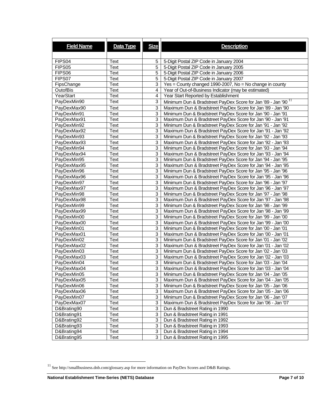| <b>Field Name</b>          | Data Type | <b>Size</b>    | <b>Description</b>                                                        |
|----------------------------|-----------|----------------|---------------------------------------------------------------------------|
|                            |           |                |                                                                           |
| FIPS04                     | Text      | 5              | 5-Digit Postal ZIP Code in January 2004                                   |
| FIPS05                     | Text      | 5              | 5-Digit Postal ZIP Code in January 2005                                   |
| FIPS06                     | Text      | 5              | 5-Digit Postal ZIP Code in January 2006                                   |
| FIPS07                     | Text      | 5              | 5-Digit Postal ZIP Code in January 2007                                   |
| FipsChange                 | Text      | 3              | Yes = County changed 1990-2007, No = No change in county                  |
| <b>OutofBis</b>            | Text      | 4              | Year of Out-of-Business Indicator (may be estimated)                      |
| YearStart                  | Text      | 4              | Year Start Reported by Establishment                                      |
| PayDexMin90                | Text      | 3              | Minimum Dun & Bradstreet PayDex Score for Jan '89 - Jan '90 <sup>11</sup> |
| PayDexMax90                | Text      | 3              | Maximum Dun & Bradstreet PayDex Score for Jan '89 - Jan '90               |
| PayDexMin91                | Text      | 3              | Minimum Dun & Bradstreet PayDex Score for Jan '90 - Jan '91               |
|                            | Text      | 3              |                                                                           |
| PayDexMax91<br>PayDexMin92 | Text      | 3              | Maximum Dun & Bradstreet PayDex Score for Jan '90 - Jan '91               |
|                            |           |                | Minimum Dun & Bradstreet PayDex Score for Jan '91 - Jan '92               |
| PayDexMax92                | Text      | 3              | Maximum Dun & Bradstreet PayDex Score for Jan '91 - Jan '92               |
| PayDexMin93                | Text      | 3<br>3         | Minimum Dun & Bradstreet PayDex Score for Jan '92 - Jan '93               |
| PayDexMax93                | Text      |                | Maximum Dun & Bradstreet PayDex Score for Jan '92 - Jan '93               |
| PayDexMin94                | Text      | 3              | Minimum Dun & Bradstreet PayDex Score for Jan '93 - Jan '94               |
| PayDexMax94                | Text      | 3              | Maximum Dun & Bradstreet PayDex Score for Jan '93 - Jan '94               |
| PayDexMin95                | Text      | 3              | Minimum Dun & Bradstreet PayDex Score for Jan '94 - Jan '95               |
| PayDexMax95                | Text      | 3              | Maximum Dun & Bradstreet PayDex Score for Jan '94 - Jan '95               |
| PayDexMin96                | Text      | 3              | Minimum Dun & Bradstreet PayDex Score for Jan '95 - Jan '96               |
| PayDexMax96                | Text      | 3              | Maximum Dun & Bradstreet PayDex Score for Jan '95 - Jan '96               |
| PayDexMin97                | Text      | 3              | Minimum Dun & Bradstreet PayDex Score for Jan '96 - Jan '97               |
| PayDexMax97                | Text      | 3              | Maximum Dun & Bradstreet PayDex Score for Jan '96 - Jan '97               |
| PayDexMin98                | Text      | 3              | Minimum Dun & Bradstreet PayDex Score for Jan '97 - Jan '98               |
| PayDexMax98                | Text      | 3              | Maximum Dun & Bradstreet PayDex Score for Jan '97 - Jan '98               |
| PayDexMin99                | Text      | 3              | Minimum Dun & Bradstreet PayDex Score for Jan '98 - Jan '99               |
| PayDexMax99                | Text      | 3              | Maximum Dun & Bradstreet PayDex Score for Jan '98 - Jan '99               |
| PayDexMin00                | Text      | 3              | Minimum Dun & Bradstreet PayDex Score for Jan '99 - Jan '00               |
| PayDexMax00                | Text      | 3              | Maximum Dun & Bradstreet PayDex Score for Jan '99 - Jan '00               |
| PayDexMin01                | Text      | 3              | Minimum Dun & Bradstreet PayDex Score for Jan '00 - Jan '01               |
| PayDexMax01                | Text      | 3              | Maximum Dun & Bradstreet PayDex Score for Jan '00 - Jan '01               |
| PayDexMin02                | Text      | 3              | Minimum Dun & Bradstreet PayDex Score for Jan '01 - Jan '02               |
| PayDexMax02                | Text      | 3              | Maximum Dun & Bradstreet PayDex Score for Jan '01 - Jan '02               |
| PayDexMin03                | Text      | 3              | Minimum Dun & Bradstreet PayDex Score for Jan '02 - Jan '03               |
| PayDexMax03                | Text      | 3              | Maximum Dun & Bradstreet PayDex Score for Jan '02 - Jan '03               |
| PayDexMin04                | Text      | 3              | Minimum Dun & Bradstreet PayDex Score for Jan '03 - Jan '04               |
| PayDexMax04                | Text      | 3              | Maximum Dun & Bradstreet PayDex Score for Jan '03 - Jan '04               |
| PayDexMin05                | Text      | 3              | Minimum Dun & Bradstreet PayDex Score for Jan '04 - Jan '05               |
| PayDexMax05                | Text      | 3              | Maximum Dun & Bradstreet PayDex Score for Jan '04 - Jan '05               |
| PayDexMin06                | Text      | 3              | Minimum Dun & Bradstreet PayDex Score for Jan '05 - Jan '06               |
| PayDexMax06                | Text      | 3              | Maximum Dun & Bradstreet PayDex Score for Jan '05 - Jan '06               |
| PayDexMin07                | Text      | 3              | Minimum Dun & Bradstreet PayDex Score for Jan '06 - Jan '07               |
| PayDexMax07                | Text      | 3              | Maximum Dun & Bradstreet PayDex Score for Jan '06 - Jan '07               |
| D&Brating90                | Text      | 3              | Dun & Bradstreet Rating in 1990                                           |
| D&Brating91                | Text      | 3              | Dun & Bradstreet Rating in 1991                                           |
| D&Brating92                | Text      | 3              | Dun & Bradstreet Rating in 1992                                           |
| D&Brating93                | Text      | 3              | Dun & Bradstreet Rating in 1993                                           |
| D&Brating94                | Text      | 3 <sup>1</sup> | Dun & Bradstreet Rating in 1994                                           |
| D&Brating95                | Text      | 3 <sup>1</sup> | Dun & Bradstreet Rating in 1995                                           |

 $^{11}$  See http://smallbusiness.dnb.com/glossary.asp for more information on PayDex Scores and D&B Ratings.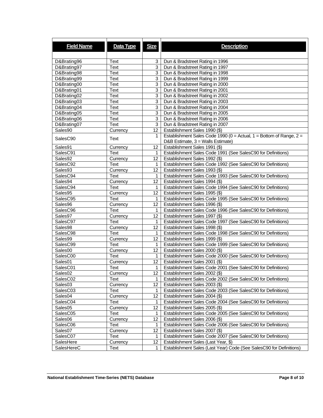| <b>Field Name</b>   | Data Type   | <b>Size</b>      | <b>Description</b>                                                                            |
|---------------------|-------------|------------------|-----------------------------------------------------------------------------------------------|
|                     |             |                  |                                                                                               |
|                     |             |                  |                                                                                               |
| D&Brating96         | <b>Text</b> | 3                | Dun & Bradstreet Rating in 1996                                                               |
| D&Brating97         | Text        | 3                | Dun & Bradstreet Rating in 1997                                                               |
| D&Brating98         | <b>Text</b> | 3                | Dun & Bradstreet Rating in 1998                                                               |
| D&Brating99         | Text        | 3                | Dun & Bradstreet Rating in 1999                                                               |
| D&Brating00         | <b>Text</b> | 3                | Dun & Bradstreet Rating in 2000                                                               |
| D&Brating01         | <b>Text</b> | 3                | Dun & Bradstreet Rating in 2001                                                               |
| D&Brating02         | Text        | 3                | Dun & Bradstreet Rating in 2002                                                               |
| D&Brating03         | <b>Text</b> | 3                | Dun & Bradstreet Rating in 2003                                                               |
| D&Brating04         | Text        | 3                | Dun & Bradstreet Rating in 2004                                                               |
| D&Brating05         | Text        | 3                | Dun & Bradstreet Rating in 2005                                                               |
| D&Brating06         | <b>Text</b> | 3                | Dun & Bradstreet Rating in 2006                                                               |
| D&Brating07         | <b>Text</b> | 3                | Dun & Bradstreet Rating in 2007                                                               |
| Sales90             | Currency    | 12               | Establishment Sales 1990 (\$)                                                                 |
|                     |             | 1                | Establishment Sales Code 1990 ( $0 =$ Actual, 1 = Bottom of Range, 2 =                        |
| SalesC90            | Text        |                  | D&B Estimate, 3 = Walls Estimate)                                                             |
| Sales91             | Currency    | 12               | Establishment Sales 1991 (\$)                                                                 |
| SalesC91            | Text        | 1                | Establishment Sales Code 1991 (See SalesC90 for Definitions)                                  |
| Sales92             | Currency    | 12               | Establishment Sales 1992 (\$)                                                                 |
| SalesC92            | Text        | 1                | Establishment Sales Code 1992 (See SalesC90 for Definitions)                                  |
| Sales93             | Currency    | 12               | Establishment Sales 1993 (\$)                                                                 |
| SalesC94            | Text        | 1                | Establishment Sales Code 1993 (See SalesC90 for Definitions)                                  |
| Sales94             | Currency    | 12               | Establishment Sales 1994 (\$)                                                                 |
| SalesC94            | <b>Text</b> | 1                | Establishment Sales Code 1994 (See SalesC90 for Definitions)                                  |
| Sales95             |             | 12               |                                                                                               |
| SalesC95            | Currency    | 1                | Establishment Sales 1995 (\$)<br>Establishment Sales Code 1995 (See SalesC90 for Definitions) |
|                     | Text        |                  |                                                                                               |
| Sales96             | Currency    | 12               | Establishment Sales 1996 (\$)                                                                 |
| SalesC96            | Text        | 1                | Establishment Sales Code 1996 (See SalesC90 for Definitions)                                  |
| Sales97             | Currency    | 12               | Establishment Sales 1997 (\$)                                                                 |
| SalesC97            | <b>Text</b> | 1                | Establishment Sales Code 1997 (See SalesC90 for Definitions)                                  |
| Sales98             | Currency    | 12               | Establishment Sales 1998 (\$)                                                                 |
| SalesC98            | Text        | 1                | Establishment Sales Code 1998 (See SalesC90 for Definitions)                                  |
| Sales99             | Currency    | 12               | Establishment Sales 1999 (\$)                                                                 |
| SalesC99            | Text        | 1                | Establishment Sales Code 1999 (See SalesC90 for Definitions)                                  |
| Sales00             | Currency    | 12               | Establishment Sales 2000 (\$)                                                                 |
| SalesC00            | Text        | 1                | Establishment Sales Code 2000 (See SalesC90 for Definitions)                                  |
| Sales01             | Currency    | 12               | Establishment Sales 2001 (\$)                                                                 |
| SalesC01            | Text        | 1                | Establishment Sales Code 2001 (See SalesC90 for Definitions)                                  |
| Sales <sub>02</sub> | Currency    | 12 <sup>12</sup> | Establishment Sales 2002 (\$)                                                                 |
| SalesC02            | Text        | 1                | Establishment Sales Code 2002 (See SalesC90 for Definitions)                                  |
| Sales <sub>03</sub> | Currency    | 12               | Establishment Sales 2003 (\$)                                                                 |
| SalesC03            | Text        | 1                | Establishment Sales Code 2003 (See SalesC90 for Definitions)                                  |
| Sales <sub>04</sub> | Currency    | 12               | Establishment Sales 2004 (\$)                                                                 |
| SalesC04            | Text        | 1                | Establishment Sales Code 2004 (See SalesC90 for Definitions)                                  |
| Sales <sub>05</sub> | Currency    | 12               | Establishment Sales 2005 (\$)                                                                 |
| SalesC05            | Text        | 1                | Establishment Sales Code 2005 (See SalesC90 for Definitions)                                  |
| Sales <sub>06</sub> | Currency    | 12               | Establishment Sales 2006 (\$)                                                                 |
| SalesC06            | Text        | 1                | Establishment Sales Code 2006 (See SalesC90 for Definitions)                                  |
| Sales07             | Currency    | 12               | Establishment Sales 2007 (\$)                                                                 |
| SalesC07            | Text        | 1                | Establishment Sales Code 2007 (See SalesC90 for Definitions)                                  |
| SalesHere           | Currency    | 12               | Establishment Sales (Last Year, \$)                                                           |
| SalesHereC          |             | 1                | Establishment Sales (Last Year) Code (See SalesC90 for Definitions)                           |
|                     | Text        |                  |                                                                                               |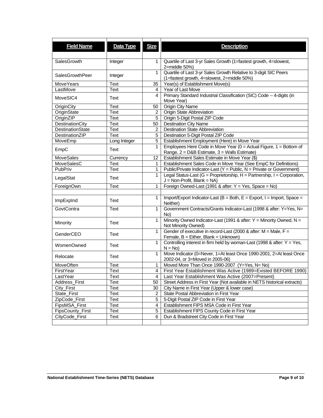| <b>Field Name</b>       | Data Type    | <b>Size</b>    | <b>Description</b>                                                                |
|-------------------------|--------------|----------------|-----------------------------------------------------------------------------------|
|                         |              |                |                                                                                   |
| SalesGrowth             |              | 1              |                                                                                   |
|                         | Integer      |                | Quartile of Last 3-yr Sales Growth (1=fastest growth, 4=slowest,<br>2=middle 50%) |
|                         |              | $\mathbf{1}$   | Quartile of Last 3-yr Sales Growth Relative to 3-digit SIC Peers                  |
| <b>SalesGrowthPeer</b>  | Integer      |                | (1=fastest growth, 4=slowest, 2=middle 50%)                                       |
| MoveYears               | <b>Text</b>  | 35             | Year(s) of Establishment Move(s)                                                  |
| LastMove                | Text         | 4              | Year of Last Move                                                                 |
|                         |              | 4              | Primary Standard Industrial Classification (SIC) Code -- 4-digits (in             |
| MoveSIC4                | Text         |                | Move Year)                                                                        |
| OriginCity              | Text         | 50             | <b>Origin City Name</b>                                                           |
| OriginState             | <b>Text</b>  | $\overline{2}$ | <b>Origin State Abbreviation</b>                                                  |
| OriginZIP               | Text         | 5              | Origin 5-Digit Postal ZIP Code                                                    |
| DestinationCity         | Text         | 50             | <b>Destination City Name</b>                                                      |
| <b>DestinationState</b> | Text         | 2              | <b>Destination State Abbreviation</b>                                             |
| DestinationZIP          | <b>Text</b>  | 5              | Destination 5-Digit Postal ZIP Code                                               |
| MoveEmp                 | Long Integer | 5              | Establishment Employment (Here) in Move Year                                      |
|                         |              | 1              | Employees Here Code in Move Year ( $0 =$ Actual Figure, $1 =$ Bottom of           |
| EmpC                    | <b>Text</b>  |                | Range, 2 = D&B Estimate, 3 = Walls Estimate)                                      |
| MoveSales               | Currency     | 12             | Establishment Sales Estimate in Move Year (\$)                                    |
| <b>MoveSalesC</b>       | Text         | 1              | Establishment Sales Code in Move Year (See EmpC for Definitions)                  |
| PubPriv                 | <b>Text</b>  | 1              | Public/Private Indicator-Last (Y = Public, N = Private or Government)             |
|                         |              | 1              | Legal Status-Last (G = Proprietorship, H = Partnership, I = Corporation,          |
| LegalStat               | Text         |                | $J = Non-Profit, Blank = NA)$                                                     |
| ForeignOwn              | <b>Text</b>  | 1              | Foreign Owned-Last (1991 & after: Y = Yes, Space = No)                            |
|                         |              |                |                                                                                   |
|                         |              | 1              | Import/Export Indicator-Last (B = Both, E = Export, I = Import, Space =           |
| ImpExpInd               | Text         |                | Neither)                                                                          |
| GovtContra              | <b>Text</b>  | $\mathbf{1}$   | Government Contracts/Grants Indicator-Last (1998 & after: Y=Yes, N=               |
|                         |              |                | No)                                                                               |
|                         |              | 1              | Minority Owned Indicator-Last (1991 & after: Y = Minority Owned, N =              |
| Minority                | Text         |                | Not Minority Owned)                                                               |
| GenderCEO               | Text         | 1              | Gender of executive in record-Last (2000 & after: $M = Male$ , $F =$              |
|                         |              |                | Female, $B =$ Either, Blank = Unknown)                                            |
| WomenOwned              | Text         | 1              | Controlling interest in firm held by woman-Last (1998 & after: $Y = Yes$ ,        |
|                         |              |                | $N = No$                                                                          |
| Relocate                | Text         | 1              | Move Indicator (0=Never, 1=At least Once 1990-2001, 2=At least Once               |
|                         |              |                | 2002-04, or 3=Moved in 2005-06)                                                   |
| MoveOften               | Text         | 1              | Moved More Than Once 1990-2007 (Y=Yes, N= No)                                     |
| FirstYear               | Text         | $\overline{4}$ | First Year Establishment Was Active (1989=Existed BEFORE 1990)                    |
| LastYear                | Text         | 4              | Last Year Establishment Was Active (2007=Present)                                 |
| Address_First           | Text         | 50             | Street Address in First Year (Not available in NETS historical extracts)          |
| City_First              | Text         | 30             | City Name in First Year (Upper & lower case)                                      |
| State_First             | Text         | $\overline{c}$ | State Postal Abbreviation in First Year                                           |
| ZipCode_First           | Text         | 5              | 5-Digit Postal ZIP Code in First Year                                             |
| FipsMSA_First           | Text         | 4              | Establishment FIPS MSA Code in First Year                                         |
| FipsCounty_First        | Text         | 5              | Establishment FIPS County Code in First Year                                      |
| CityCode_First          | Text         | 6              | Dun & Bradstreet City Code in First Year                                          |
|                         |              |                |                                                                                   |